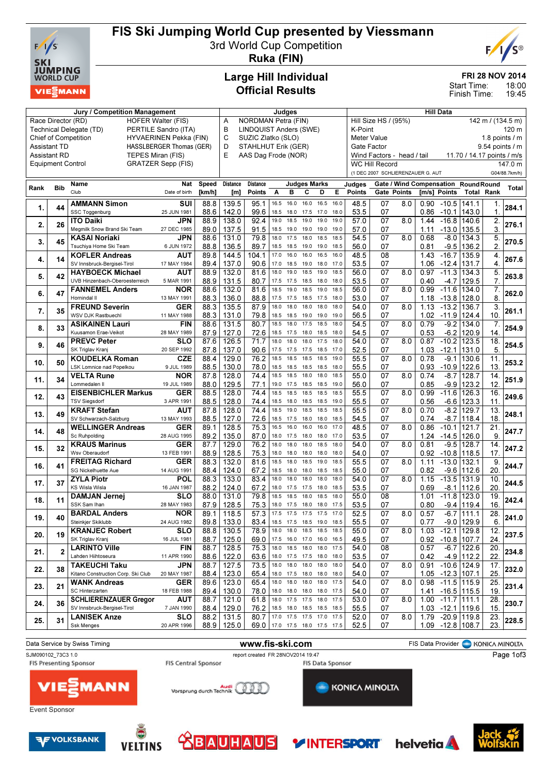

## FIS Ski Jumping World Cup presented by Viessmann

3rd World Cup Competition



Ruka (FIN)

### Large Hill Individual Official Results

#### FRI 28 NOV 2014

18:00 19:45 Start Time: Finish Time:

| <b>Jury / Competition Management</b> |                                            |                                                           |                                 |                                                                                                |                         | Judges                                                                                  |              |                                                 |                                       |              |              | <b>Hill Data</b>        |                     |                                               |              |                                                     |                   |              |               |
|--------------------------------------|--------------------------------------------|-----------------------------------------------------------|---------------------------------|------------------------------------------------------------------------------------------------|-------------------------|-----------------------------------------------------------------------------------------|--------------|-------------------------------------------------|---------------------------------------|--------------|--------------|-------------------------|---------------------|-----------------------------------------------|--------------|-----------------------------------------------------|-------------------|--------------|---------------|
|                                      |                                            | Race Director (RD)<br><b>HOFER Walter (FIS)</b>           | A                               | <b>NORDMAN Petra (FIN)</b><br>Hill Size HS / (95%)<br><b>LINDQUIST Anders (SWE)</b><br>K-Point |                         |                                                                                         |              |                                                 |                                       |              |              |                         | 142 m / $(134.5 m)$ |                                               |              |                                                     |                   |              |               |
|                                      |                                            | PERTILE Sandro (ITA)<br>Technical Delegate (TD)           | B                               |                                                                                                |                         |                                                                                         |              |                                                 |                                       |              |              |                         |                     |                                               |              |                                                     | 120 m             |              |               |
|                                      |                                            | <b>Chief of Competition</b><br>HYVAERINEN Pekka (FIN)     | C<br>SUZIC Zlatko (SLO)<br>D    |                                                                                                |                         |                                                                                         |              |                                                 | Meter Value<br>1.8 points $\sqrt{}$ m |              |              |                         |                     |                                               |              |                                                     |                   |              |               |
|                                      | <b>Assistant TD</b><br><b>Assistant RD</b> | TEPES Miran (FIS)                                         | <b>HASSLBERGER Thomas (GER)</b> |                                                                                                | E                       | STAHLHUT Erik (GER)<br>Gate Factor<br>AAS Dag Frode (NOR)<br>Wind Factors - head / tail |              |                                                 |                                       |              |              |                         |                     | 9.54 points / m<br>11.70 / 14.17 points / m/s |              |                                                     |                   |              |               |
|                                      | <b>Equipment Control</b>                   |                                                           | <b>GRATZER Sepp (FIS)</b>       |                                                                                                |                         |                                                                                         |              |                                                 |                                       |              |              |                         | WC Hill Record      |                                               |              |                                                     |                   |              | 147.0 m       |
|                                      |                                            |                                                           |                                 |                                                                                                |                         |                                                                                         |              |                                                 |                                       |              |              |                         |                     | (1 DEC 2007 SCHLIERENZAUER G. AUT             |              |                                                     |                   |              | G04/88.7km/h) |
|                                      |                                            |                                                           |                                 |                                                                                                |                         |                                                                                         |              |                                                 |                                       |              |              |                         |                     |                                               |              |                                                     |                   |              |               |
| Rank                                 | <b>Bib</b>                                 | Name<br>Club                                              | Nat<br>Date of birth            | Speed<br>[km/h]                                                                                | <b>Distance</b><br>[m]  | <b>Distance</b><br><b>Points</b>                                                        | Α            | <b>Judges Marks</b><br>B                        | C                                     | D            | Е            | Judges<br><b>Points</b> |                     | <b>Gate Points</b>                            |              | Gate / Wind Compensation RoundRound<br>[m/s] Points | <b>Total Rank</b> |              | <b>Total</b>  |
|                                      |                                            | <b>AMMANN Simon</b>                                       | SUI                             | 88.8                                                                                           | 139.5                   | 95.1                                                                                    | 16.5         | 16.0                                            | 16.0                                  | 16.5         | 16.0         | 48.5                    | 07                  | 8.0                                           | 0.90         | $-10.5$ 141.1                                       |                   | 1.           |               |
| 1.                                   | 44                                         | SSC Toggenburg                                            | 25 JUN 1981                     | 88.6                                                                                           | 142.0                   | 99.6                                                                                    | 18.5         | 18.0                                            | 17.5                                  | 17.0         | 18.0         | 53.5                    | 07                  |                                               | 0.86         | $-10.1$                                             | 143.0             | $\mathbf{1}$ | 284.1         |
|                                      |                                            | <b>ITO Daiki</b>                                          | JPN                             | 88.9                                                                                           | 138.0                   | 92.4                                                                                    | 19.0         | 18.5                                            | 19.0                                  | 19.0         | 19.0         | 57.0                    | 07                  | 8.0                                           | 1.44         | $-16.8$                                             | 140.6             | 2.           |               |
| 2.                                   | 26                                         | Megmilk Snow Brand Ski Team                               | 27 DEC 1985                     | 89.0                                                                                           | 137.5                   | 91.5                                                                                    | 18.5         | 19.0                                            | 19.0                                  | 19.0         | 19.0         | 57.0                    | 07                  |                                               | 1.11         | $-13.0$                                             | 135.5             | 3.           | 276.1         |
| 3.                                   | 45                                         | <b>KASAI Noriaki</b>                                      | JPN                             | 88.6                                                                                           | 131.0                   | 79.8                                                                                    | 18.0         | 17.5                                            | 18.0                                  | 18.5         | 18.5         | 54.5                    | 07                  | 8.0                                           | 0.68         | $-8.0$                                              | 134.3             | 5.           | 270.5         |
|                                      |                                            | Tsuchiya Home Ski Team                                    | 6 JUN 1972                      | 88.8                                                                                           | 136.5                   | 89.7                                                                                    | 18.5         | 18.5                                            | 19.0                                  | 19.0         | 18.5         | 56.0                    | 07                  |                                               | 0.81         | $-9.5$                                              | 136.2             | 2.           |               |
| 4.                                   | 14                                         | <b>KOFLER Andreas</b>                                     | AUT                             | 89.8                                                                                           | 144.5                   | 104.1                                                                                   | 17.0         | 16.0                                            | 16.0                                  | 16.5         | 16.0         | 48.5                    | 08                  |                                               | 1.43         | $-16.7$                                             | 135.9             | 4.           | 267.6         |
|                                      |                                            | SV Innsbruck-Bergisel-Tirol                               | 17 MAY 1984                     | 89.4                                                                                           | 137.0                   | 90.6                                                                                    | 17.0         | 18.5                                            | 19.0                                  | 18.0         | 17.0         | 53.5                    | 07                  |                                               | 1.06         | $-12.4$ 131.7                                       |                   | 4.           |               |
| 5.                                   | 42                                         | <b>HAYBOECK Michael</b><br>UVB Hinzenbach-Oberoesterreich | AUT<br>5 MAR 1991               | 88.9<br>88.9                                                                                   | 132.0<br>131.5          | 81.6<br>80.7                                                                            | 18.0         | 19.0<br>17.5 17.5                               | 18.5<br>18.5                          | 19.0<br>18.0 | 18.5<br>18.0 | 56.0<br>53.5            | 07<br>07            | 8.0                                           | 0.97<br>0.40 | $-11.3$<br>-4.7                                     | 134.3<br>129.5    | 5.<br>7.     | 263.8         |
|                                      |                                            | <b>FANNEMEL Anders</b>                                    | NOR                             | 88.6                                                                                           | 132.0                   | 81.6                                                                                    | 18.5         | 19.0                                            | 18.5                                  | 19.0         | 18.5         | 56.0                    | 07                  | 8.0                                           | 0.99         | $-11.6$                                             | 134.0             | 7.           |               |
| 6.                                   | 47                                         | Hornindal II                                              | 13 MAY 1991                     | 88.3                                                                                           | 136.0                   | 88.8                                                                                    |              | 17.5 17.5                                       | 18.5 17.5                             |              | 18.0         | 53.0                    | 07                  |                                               | 1.18         | -13.8   128.0                                       |                   | 8            | 262.0         |
|                                      |                                            | <b>FREUND Severin</b>                                     | <b>GER</b>                      | 88.3                                                                                           | 135.5                   | 87.9                                                                                    | 18.0         | 18.0                                            | 18.0                                  | 18.0         | 18.0         | 54.0                    | $\overline{07}$     | 8.0                                           | 1.13         | $-13.2$                                             | 136.7             | 3.           |               |
| 7.                                   | 35                                         | WSV DJK Rastbuechl                                        | 11 MAY 1988                     | 88.3                                                                                           | 131.0                   | 79.8                                                                                    | 18.5         | 18.5                                            | 19.0                                  | 19.0         | 19.0         | 56.5                    | 07                  |                                               | 1.02         |                                                     | $-11.9$ 124.4     | 10.          | 261.1         |
| 8.                                   | 33                                         | <b>ASIKAINEN Lauri</b>                                    | <b>FIN</b>                      | 88.6                                                                                           | 131.5                   | 80.7                                                                                    | 18.5         | 18.0                                            | 17.5                                  | 18.5         | 18.0         | 54.5                    | 07                  | 8.0                                           | 0.79         | $-9.2$                                              | 134.0             | 7.           | 254.9         |
|                                      |                                            | Kuusamon Erae-Veikot                                      | 28 MAY 1989                     | 87.9                                                                                           | 127.0                   | 72.6                                                                                    | 18.5         | 17.5                                            | 18.0                                  | 18.5         | 18.0         | 54.5                    | 07                  |                                               | 0.53         |                                                     | -6.2 120.9        | 14.          |               |
| 9.                                   | 46                                         | <b>PREVC Peter</b>                                        | SLO                             | 87.6                                                                                           | 126.5                   | 71.7                                                                                    | 18.0         | 18.0                                            | 18.0                                  | 17.5         | 18.0         | 54.0                    | 07                  | 8.0                                           | 0.87         | $-10.2$                                             | 123.5             | 18.          | 254.5         |
|                                      |                                            | SK Triglav Kranj                                          | 20 SEP 1992                     | 87.8                                                                                           | 137.0                   | 90.6                                                                                    | 17.5         | 17.5                                            | 17.5                                  | 18.5         | 17.0         | 52.5                    | 07                  |                                               | 1.03         | $-12.1$                                             | 131.0             | 5            |               |
| 10.                                  | 50                                         | <b>KOUDELKA Roman</b><br>LSK Lomnice nad Popelkou         | CZE<br>9 JUL 1989               | 88.4                                                                                           | 129.0                   | 76.2                                                                                    | 18.5<br>18.5 | 18.5                                            | 18.5                                  | 18.5         | 19.0<br>18.0 | 55.5                    | 07                  | 8.0                                           | 0.78         | $-9.1$                                              | 130.6             | 11.<br>13.   | 253.2         |
|                                      |                                            | <b>VELTA Rune</b>                                         | NOR                             | 88.5<br>87.8                                                                                   | 130.0<br>128.0          | 78.0<br>74.4                                                                            | 18.5         | 18.5<br>18.5                                    | 18.5<br>18.0                          | 18.5<br>18.0 | 18.5         | 55.5<br>55.0            | 07<br>07            | 8.0                                           | 0.93<br>0.74 | $-10.9$<br>$-8.7$                                   | 122.6<br>128.7    | 14.          |               |
| 11.                                  | 34                                         | Lommedalen II                                             | 19 JUL 1989                     | 88.0                                                                                           | 129.5                   | 77.1                                                                                    | 19.0         | 17.5                                            | 18.5                                  | 18.5         | 19.0         | 56.0                    | 07                  |                                               | 0.85         |                                                     | -9.9 123.2        | 12.          | 251.9         |
|                                      |                                            | <b>EISENBICHLER Markus</b>                                | GER                             | 88.5                                                                                           | 128.0                   | 74.4                                                                                    | 18.5         | 18.5                                            | 18.5                                  | 18.5         | 18.5         | 55.5                    | 07                  | 8.0                                           | 0.99         | $-11.6$                                             | 126.3             | 16.          |               |
| 12.                                  | 43                                         | <b>TSV Siegsdorf</b>                                      | 3 APR 1991                      | 88.5                                                                                           | 128.0                   | 74.4                                                                                    | 18.5         | 18.0                                            | 18.5                                  | 18.5         | 19.0         | 55.5                    | 07                  |                                               | 0.56         | $-6.6$                                              | 123.3             | 11.          | 249.6         |
| 13.                                  | 49                                         | <b>KRAFT Stefan</b>                                       | <b>AUT</b>                      | 87.8                                                                                           | 128.0                   | 74.4                                                                                    | 18.5         | 19.0                                            | 18.5                                  | 18.5         | 18.5         | 55.5                    | 07                  | 8.0                                           | 0.70         | $-8.2$                                              | 129.7             | 13.          | 248.1         |
|                                      |                                            | SV Schwarzach-Salzburg                                    | 13 MAY 1993                     | 88.5                                                                                           | 127.0                   | 72.6                                                                                    |              | 18.5 17.5                                       | 18.0                                  | 18.0         | 18.5         | 54.5                    | 07                  |                                               | 0.74         | $-8.7$                                              | 118.4             | 18           |               |
| 14.                                  | 48                                         | <b>WELLINGER Andreas</b>                                  | <b>GER</b>                      | 89.1                                                                                           | 128.5                   | 75.3                                                                                    | 16.5         | 16.0                                            | 16.0                                  | 16.0         | 17.0         | 48.5                    | 07                  | 8.0                                           | 0.86         | $-10.1$                                             | 121.7             | 21.          | 247.7         |
|                                      |                                            | Sc Ruhpolding                                             | 28 AUG 1995                     | 89.2                                                                                           | 135.0                   | 87.0                                                                                    | 18.0         | 17.5                                            | 18.0<br>18.0                          | 18.0<br>18.5 | 17.0<br>18.0 | 53.5                    | 07<br>07            |                                               | 1.24         | $-14.5$ 126.0                                       |                   | 9            |               |
| 15.                                  | 32                                         | <b>KRAUS Marinus</b><br>Wsv Oberaudorf                    | <b>GER</b><br>13 FEB 1991       | 87.7<br>88.9                                                                                   | 129.0<br>128.5          | 76.2<br>75.3                                                                            | 18.0         | 18.0<br>18.0 18.0                               | 18.0                                  | 18.0         | 18.0         | 54.0<br>54.0            | 07                  | 8.0                                           | 0.81<br>0.92 | $-9.5$<br>-10.8   118.5                             | 128.7             | 14.<br>17.   | 247.2         |
|                                      |                                            | <b>FREITAG Richard</b>                                    | <b>GER</b>                      | 88.3                                                                                           | 132.0                   | 81.6                                                                                    | 18.5         | 18.0                                            | 18.5                                  | 19.0         | 18.5         | 55.5                    | 07                  | 8.0                                           | 1.11         | $-13.0$                                             | 132.1             | 9.           |               |
| 16.                                  | 41                                         | SG Nickelhuette Aue                                       | 14 AUG 1991                     | 88.4                                                                                           | 124.0                   | 67.2                                                                                    | 18.5         | 18.0                                            | 18.0                                  | 18.5         | 18.5         | 55.0                    | 07                  |                                               | 0.82         |                                                     | -9.6 112.6        | 20           | 244.7         |
|                                      |                                            | <b>ZYLA Piotr</b>                                         | POL                             | 88.3                                                                                           | 133.0                   | 83.4                                                                                    | 18.0         | 18.0                                            | 18.0                                  | 18.0         | 18.0         | 54.0                    | $\overline{07}$     | 8.0                                           | 1.15         | $-13.5$                                             | 131.9             | 10.          |               |
| 17.                                  | 37                                         | <b>KS Wisla Wisla</b>                                     | 16 JAN 1987                     | 88.2                                                                                           | 124.0                   | 67.2                                                                                    | 18.0         | 17.5                                            | 17.5                                  | 18.0         | 18.5         | 53.5                    | 07                  |                                               | 0.69         | $-8.1$                                              | 112.6             | 20           | 244.5         |
| 18.                                  | 11                                         | <b>DAMJAN Jernej</b>                                      | SLO                             | 88.0                                                                                           | 131.0                   | 79.8                                                                                    | 18.5         | 18.5                                            | 18.0                                  | 18.5         | 18.0         | 55.0                    | 08                  |                                               | 1.01         | $-11.8$                                             | 123.0             | 19.          | 242.4         |
|                                      |                                            | SSK Sam Ihan                                              | 28 MAY 1983                     | 87.9                                                                                           | 128.5                   | 75.3                                                                                    | 18.0         | 17.5                                            | 18.0                                  | 18.0         | 17.5         | 53.5                    | 07                  |                                               | 0.80         | $-9.4$                                              | 119.4             | 16.          |               |
| 19.                                  | 40                                         | <b>BARDAL Anders</b>                                      | <b>NOR</b>                      | 89.1                                                                                           | 118.5                   | 57.3                                                                                    | 17.5 17.5    |                                                 | 17.5                                  | 17.5         | 17.0         | 52.5                    | 07                  | 8.0                                           | 0.57         | $-6.7$                                              | 1111.1            | 28.          | 241.0         |
|                                      |                                            | Steinkjer Skiklubb                                        | 24 AUG 1982                     |                                                                                                | 89.8   133.0            | 83.4<br>78.9                                                                            |              | 18.5 17.5 18.5 19.0 18.5<br>18.0 18.0 18.5 18.5 |                                       |              | 18.5         | 55.5                    | 07<br>07            |                                               | 0.77         |                                                     | $-9.0$   129.9    | 6.           |               |
| 20.                                  | 19                                         | <b>KRANJEC Robert</b><br>SK Triglav Kranj                 | <b>SLO</b><br>16 JUL 1981       | 88.8<br>88.7                                                                                   | 130.5<br>125.0          | 69.0                                                                                    |              | 17.5 16.0 17.0 16.0 16.5                        |                                       |              |              | 55.0<br>49.5            | 07                  | 8.0                                           | 1.03         | $-12.1$ 129.8<br>0.92 -10.8 107.7                   |                   | 12.<br>24.   | 237.5         |
|                                      |                                            | <b>LARINTO Ville</b>                                      | <b>FIN</b>                      | 88.7                                                                                           | 128.5                   | 75.3                                                                                    |              | 18.0 18.5 18.0 18.0                             |                                       |              | 17.5         | 54.0                    | 08                  |                                               | 0.57         |                                                     | $-6.7$ 122.6      | 20.          |               |
| 21.                                  | $\mathbf{2}$                               | Lahden Hiihtoseura                                        | 11 APR 1990                     | 88.6                                                                                           | 122.0                   | 63.6                                                                                    |              | 18.0 17.5 17.5 18.0 18.0                        |                                       |              |              | 53.5                    | 07                  |                                               | 0.42         |                                                     | $-4.9$ 112.2      | 22.          | 234.8         |
|                                      |                                            | <b>TAKEUCHI Taku</b>                                      | JPN                             | 88.7                                                                                           | 127.5                   | 73.5                                                                                    |              | 18.0 18.0 18.0 18.0                             |                                       |              | 18.0         | 54.0                    | 07                  | 8.0                                           |              | 0.91 -10.6 124.9                                    |                   | 17.          |               |
| 22.                                  | 38                                         | Kitano Construction Corp. Ski Club                        | 20 MAY 1987                     | 88.4                                                                                           | 123.0                   | 65.4                                                                                    |              | 18.0 17.5 18.0 18.0 18.0                        |                                       |              |              | 54.0                    | 07                  |                                               |              | $1.05 - 12.3   107.1$                               |                   | 25.          | 232.0         |
| 23.                                  | 21                                         | <b>WANK Andreas</b>                                       | <b>GER</b>                      | 89.6                                                                                           | 123.0                   | 65.4                                                                                    |              | 18.0 18.0                                       | 18.0                                  | 18.0         | 17.5         | 54.0                    | 07                  | 8.0                                           |              | $0.98 - 11.5$ 115.9                                 |                   | 25.          | 231.4         |
|                                      |                                            | SC Hinterzarten                                           | 18 FEB 1988                     | 89.4                                                                                           | 130.0                   | 78.0 18.0 18.0 18.0 18.0 17.5                                                           |              |                                                 |                                       |              |              | 54.0                    | 07                  |                                               |              | 1.41 -16.5 115.5                                    |                   | 19.          |               |
| 24.                                  | 36                                         | <b>SCHLIERENZAUER Gregor</b>                              | <b>AUT</b>                      | 88.7                                                                                           | 121.0                   | 61.8                                                                                    |              | 18.0 17.5 17.5 18.0 17.5                        |                                       |              |              | 53.0                    | 07                  | 8.0                                           |              | $1.00 - 11.7$   111.1                               |                   | 28.          | 230.7         |
|                                      |                                            | SV Innsbruck-Bergisel-Tirol<br><b>LANISEK Anze</b>        | 7 JAN 1990<br><b>SLO</b>        | 88.4                                                                                           | 129.0<br>$88.2$   131.5 | 76.2<br>80.7   17.0 17.5 17.5 17.0 17.5                                                 |              | 18.5 18.0 18.5 18.5 18.5                        |                                       |              |              | 55.5<br>52.0            | 07<br>07            | 8.0                                           |              | 1.03 -12.1 119.6<br>1.79 -20.9 119.8                |                   | 15.<br>23.   |               |
| 25.                                  | 31                                         | Ssk Menges                                                | 20 APR 1996                     |                                                                                                | 88.9   125.0            | 69.0 17.0 17.5 18.0 17.5 17.5                                                           |              |                                                 |                                       |              |              | 52.5                    | 07                  |                                               |              | 1.09 -12.8 108.7                                    |                   | 23.          | 228.5         |
|                                      |                                            |                                                           |                                 |                                                                                                |                         |                                                                                         |              |                                                 |                                       |              |              |                         |                     |                                               |              |                                                     |                   |              |               |

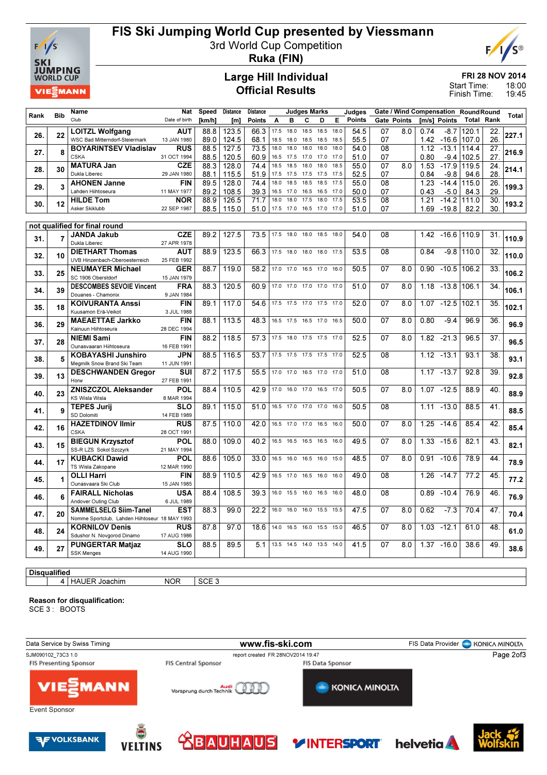

### FIS Ski Jumping World Cup presented by Viessmann

3rd World Cup Competition



Ruka (FIN)

#### Large Hill Individual Official Results

FRI 28 NOV 2014

18:00 19:45 Start Time: Finish Time:

|                     |            | Name                                                  | Nat                       | Speed        | <b>Distance</b> | <b>Distance</b> |              |              | Judges Marks             |                |              | Judges        |          |             |              |                    | Gate / Wind Compensation Round Round |           |       |
|---------------------|------------|-------------------------------------------------------|---------------------------|--------------|-----------------|-----------------|--------------|--------------|--------------------------|----------------|--------------|---------------|----------|-------------|--------------|--------------------|--------------------------------------|-----------|-------|
| Rank                | <b>Bib</b> | Club                                                  | Date of birth             | [km/h]       | [m]             | <b>Points</b>   | A            | в            | C                        | D              | E            | <b>Points</b> |          | Gate Points |              | [m/s] Points       | Total                                | Rank      | Total |
|                     |            | <b>LOITZL Wolfgang</b>                                | <b>AUT</b>                | 88.8         | 123.5           | 66.3            | 17.5         | 18.0         | 18.5                     | 18.5           | 18.0         | 54.5          | 07       | 8.0         | 0.74         | $-8.7$             | 120.1                                | 22.       |       |
| 26.                 | 22         | WSC Bad Mitterndorf-Steiermark                        | 13 JAN 1980               | 89.0         | 124.5           | 68.1            | 18.5         | 18.0         | 18.5                     | 18.5           | 18.5         | 55.5          | 07       |             | 1.42         |                    | -16.6   107.0                        | 26.       | 227.1 |
| 27.                 | 8          | <b>BOYARINTSEV Vladislav</b>                          | <b>RUS</b>                | 88.5         | 127.5           | 73.5            | 18.0         | 18.0         | 18.0                     | 18.0           | 18.0         | 54.0          | 08       |             | 1.12         | $-13.1$            | 114.4                                | 27.       | 216.9 |
|                     |            | <b>CSKA</b>                                           | 31 OCT 1994               | 88.5         | 120.5           | 60.9            | 16.5         | 17.5         | 17.0                     | 17.0           | 17.0         | 51.0          | 07       |             | 0.80         | $-9.4$             | 102.5                                | 27.       |       |
| 28.                 | 30         | <b>MATURA Jan</b>                                     | <b>CZE</b>                | 88.3         | 128.0           | 74.4            | 18.5         | 18.5         | 18.0                     | 18.0           | 18.5         | 55.0          | 07       | 8.0         | 1.53         | $-17.9$            | 119.5                                | 24.       | 214.1 |
|                     |            | Dukla Liberec                                         | 29 JAN 1980               | 88.1         | 115.5           | 51.9            | 17.5         | 17.5         |                          | 17.5 17.5 17.5 |              | 52.5          | 07       |             | 0.84         | $-9.8$             | 94.6                                 | 28        |       |
| 29.                 | 3          | <b>AHONEN Janne</b>                                   | FIN                       | 89.5         | 128.0           | 74.4            | 18.0         | 18.5         | 18.5                     | 18.5           | 17.5         | 55.0          | 08       |             | 1.23         | $-14.4$            | 115.0                                | 26.       | 199.3 |
|                     |            | Lahden Hiihtoseura                                    | 11 MAY 1977               | 89.2         | 108.5           | 39.3            | 16.5<br>18.0 | 17.0<br>18.0 | 16.5<br>17.5             | 16.5<br>18.0   | 17.0<br>17.5 | 50.0          | 07       |             | 0.43         | $-5.0$             | 84.3                                 | 29<br>30. |       |
| 30.                 | 12         | <b>HILDE Tom</b><br>Asker Skiklubb                    | <b>NOR</b><br>22 SEP 1987 | 88.9<br>88.5 | 126.5<br>115.0  | 71.7<br>51.0    | 17.5         | 17.0         | 16.5                     | 17.0           | 17.0         | 53.5<br>51.0  | 08<br>07 |             | 1.21<br>1.69 | $-14.2$<br>$-19.8$ | 111.0<br>82.2                        | 30.       | 193.2 |
|                     |            |                                                       |                           |              |                 |                 |              |              |                          |                |              |               |          |             |              |                    |                                      |           |       |
|                     |            | not qualified for final round                         |                           |              |                 |                 |              |              |                          |                |              |               |          |             |              |                    |                                      |           |       |
|                     |            | <b>JANDA Jakub</b>                                    | <b>CZE</b>                | 89.2         | 127.5           | 73.5            | 17.5         | 18.0         | 18.0                     | 18.5           | 18.0         | 54.0          | 08       |             | 1.42         |                    | $-16.6$ 1110.9                       | 31.       |       |
| 31.                 |            | Dukla Liberec                                         | 27 APR 1978               |              |                 |                 |              |              |                          |                |              |               |          |             |              |                    |                                      |           | 110.9 |
| 32.                 | 10         | <b>DIETHART Thomas</b>                                | <b>AUT</b>                | 88.9         | 123.5           | 66.3            | 17.5         | 18.0         | 18.0                     | 18.0           | 17.5         | 53.5          | 08       |             | 0.84         |                    | $-9.8$ 110.0                         | 32.       | 110.0 |
|                     |            | UVB Hinzenbach-Oberoesterreich                        | 25 FEB 1992               |              |                 |                 |              |              |                          |                |              |               |          |             |              |                    |                                      |           |       |
| 33.                 | 25         | <b>NEUMAYER Michael</b>                               | <b>GER</b>                | 88.7         | 119.0           | 58.2            | 17.0         | 17.0         |                          | 16.5 17.0 16.0 |              | 50.5          | 07       | 8.0         | 0.90         | $-10.5$            | 106.2                                | 33.       | 106.2 |
|                     |            | SC 1906 Oberstdorf                                    | 15 JAN 1979               |              |                 |                 |              |              |                          |                |              |               |          |             |              |                    |                                      |           |       |
| 34.                 | 39         | <b>DESCOMBES SEVOIE Vincent</b><br>Douanes - Chamonix | <b>FRA</b><br>9 JAN 1984  | 88.3         | 120.5           | 60.9            | 17.0         | 17.0         | 17.0                     | 17.0           | 17.0         | 51.0          | 07       | 8.0         | 1.18         | $-13.8$            | 106.1                                | 34.       | 106.1 |
|                     |            | <b>KOIVURANTA Anssi</b>                               | <b>FIN</b>                | 89.1         | 117.0           | 54.6            | 17.5         | 17.5         | 17.0                     | 17.5 17.0      |              | 52.0          | 07       | 8.0         | 1.07         | $-12.5$            | 102.1                                | 35.       |       |
| 35.                 | 18         | Kuusamon Erä-Veikot                                   | 3 JUL 1988                |              |                 |                 |              |              |                          |                |              |               |          |             |              |                    |                                      |           | 102.1 |
|                     |            | <b>MAEAETTAE Jarkko</b>                               | <b>FIN</b>                | 88.1         | 113.5           | 48.3            |              | 16.5 17.5    |                          | 16.5 17.0 16.5 |              | 50.0          | 07       | 8.0         | 0.80         | $-9.4$             | 96.9                                 | 36.       |       |
| 36.                 | 29         | Kainuun Hiihtoseura                                   | 28 DEC 1994               |              |                 |                 |              |              |                          |                |              |               |          |             |              |                    |                                      |           | 96.9  |
| 37.                 | 28         | <b>NIEMI Sami</b>                                     | <b>FIN</b>                | 88.2         | 118.5           | 57.3            |              |              | 17.5 18.0 17.5 17.5 17.0 |                |              | 52.5          | 07       | 8.0         | 1.82         | $-21.3$            | 96.5                                 | 37.       | 96.5  |
|                     |            | Ounasvaaran Hiihtoseura                               | 16 FEB 1991               |              |                 |                 |              |              |                          |                |              |               |          |             |              |                    |                                      |           |       |
| 38.                 | 5          | <b>KOBAYASHI Junshiro</b>                             | <b>JPN</b>                | 88.5         | 116.5           | 53.7            |              | 17.5 17.5    |                          | 17.5 17.5 17.0 |              | 52.5          | 08       |             | 1.12         | $-13.1$            | 93.1                                 | 38.       | 93.1  |
|                     |            | Megmilk Snow Brand Ski Team                           | 11 JUN 1991               |              |                 |                 |              |              |                          |                |              |               |          |             |              |                    |                                      |           |       |
| 39.                 | 13         | <b>DESCHWANDEN Gregor</b><br>Horw                     | SUI<br>27 FEB 1991        | 87.2         | 117.5           | 55.5            | 17.0         | 17.0         |                          | 16.5 17.0 17.0 |              | 51.0          | 08       |             | 1.17         | $-13.7$            | 92.8                                 | 39.       | 92.8  |
|                     |            | <b>ZNISZCZOL Aleksander</b>                           | <b>POL</b>                | 88.4         | 110.5           | 42.9            | 17.0         | 16.0         |                          | 17.0 16.5 17.0 |              | 50.5          | 07       | 8.0         | 1.07         | $-12.5$            | 88.9                                 | 40.       |       |
| 40.                 | 23         | <b>KS Wisla Wisla</b>                                 | 8 MAR 1994                |              |                 |                 |              |              |                          |                |              |               |          |             |              |                    |                                      |           | 88.9  |
|                     |            | <b>TEPES Jurij</b>                                    | <b>SLO</b>                | 89.1         | 115.0           | 51.0            | 16.5         | 17.0         | 17.0                     | 17.0           | 16.0         | 50.5          | 08       |             | 1.11         | $-13.0$            | 88.5                                 | 41.       |       |
| 41.                 | 9          | SD Dolomiti                                           | 14 FEB 1989               |              |                 |                 |              |              |                          |                |              |               |          |             |              |                    |                                      |           | 88.5  |
| 42.                 | 16         | <b>HAZETDINOV Ilmir</b>                               | <b>RUS</b>                | 87.5         | 110.0           | 42.0            | 16.5         | 17.0         | 17.0                     | 16.5           | 16.0         | 50.0          | 07       | 8.0         | 1.25         | $-14.6$            | 85.4                                 | 42.       | 85.4  |
|                     |            | <b>CSKA</b>                                           | 28 OCT 1991               |              |                 |                 |              |              |                          |                |              |               |          |             |              |                    |                                      |           |       |
| 43.                 | 15         | <b>BIEGUN Krzysztof</b>                               | <b>POL</b>                | 88.0         | 109.0           | 40.2            | 16.5         | 16.5         | 16.5                     | 16.5           | 16.0         | 49.5          | 07       | 8.0         | 1.33         | $-15.6$            | 82.1                                 | 43.       | 82.1  |
|                     |            | SS-R LZS Sokol Szczyrk                                | 21 MAY 1994               |              |                 |                 |              |              |                          |                |              |               |          |             |              |                    |                                      |           |       |
| 44.                 | 17         | <b>KUBACKI Dawid</b><br>TS Wisla Zakopane             | POL<br>12 MAR 1990        | 88.6         | 105.0           | 33.0            | 16.5         | 16.0         |                          | 16.5 16.0 15.0 |              | 48.5          | 07       | 8.0         | 0.91         | $-10.6$            | 78.9                                 | 44.       | 78.9  |
|                     |            | <b>OLLI Harri</b>                                     | <b>FIN</b>                | 88.9         | 110.5           | 42.9            | 16.5         | 17.0         |                          | 16.5 16.0      | 16.0         | 49.0          | 08       |             | 1.26         | $-14.7$            | 77.2                                 | 45.       |       |
| 45.                 | 1          | Ounasvaara Ski Club                                   | 15 JAN 1985               |              |                 |                 |              |              |                          |                |              |               |          |             |              |                    |                                      |           | 77.2  |
|                     |            | <b>FAIRALL Nicholas</b>                               | USA                       | 88.4         | 108.5           | 39.3            | 16.0         | 15.5         | 16.0                     | 16.5           | 16.0         | 48.0          | 08       |             | 0.89         | $-10.4$            | 76.9                                 | 46.       |       |
| 46.                 | 6          | Andover Outing Club                                   | 6 JUL 1989                |              |                 |                 |              |              |                          |                |              |               |          |             |              |                    |                                      |           | 76.9  |
| 47.                 | 20         | <b>SAMMELSELG Siim-Tanel</b>                          | EST                       | 88.3         | 99.0            | 22.2            |              | 16.0 16.0    | 16.0 15.5 15.5           |                |              | 47.5          | 07       | 8.0         | 0.62         | $-7.3$             | 70.4                                 | 47.       | 70.4  |
|                     |            | Nomme Sportclub, Lahden Hiihtoseur 18 MAY 1993        |                           |              |                 |                 |              |              |                          |                |              |               |          |             |              |                    |                                      |           |       |
| 48.                 | 24         | <b>KORNILOV Denis</b>                                 | <b>RUS</b>                | 87.8         | 97.0            | 18.6            | 14.0         | 16.5         | 16.0                     | 15.5           | 15.0         | 46.5          | 07       | 8.0         | 1.03         | $-12.1$            | 61.0                                 | 48.       | 61.0  |
|                     |            | Sdushor N. Novgorod Dinamo                            | 17 AUG 1986               |              |                 |                 |              |              |                          |                |              |               |          |             |              |                    |                                      |           |       |
| 49.                 | 27         | <b>PUNGERTAR Matjaz</b><br><b>SSK Menges</b>          | <b>SLO</b><br>14 AUG 1990 | 88.5         | 89.5            | 5.1             | 13.5         | 14.5         | 14.0 13.5                |                | 14.0         | 41.5          | 07       | 8.0         | 1.37         | $-16.0$            | 38.6                                 | 49.       | 38.6  |
|                     |            |                                                       |                           |              |                 |                 |              |              |                          |                |              |               |          |             |              |                    |                                      |           |       |
| <b>Disqualified</b> |            |                                                       |                           |              |                 |                 |              |              |                          |                |              |               |          |             |              |                    |                                      |           |       |
|                     |            |                                                       |                           |              |                 |                 |              |              |                          |                |              |               |          |             |              |                    |                                      |           |       |

# 4 HAUER Joachim NOR SCE 3

Reason for disqualification:

SCE 3: BOOTS